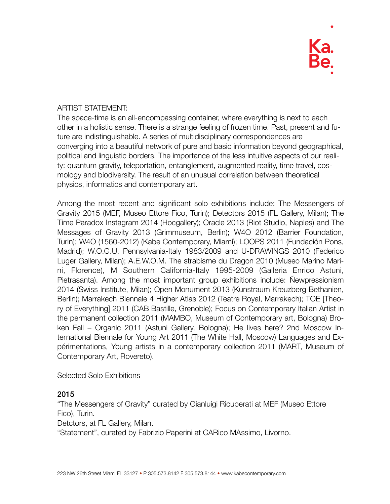#### ARTIST STATEMENT:

The space-time is an all-encompassing container, where everything is next to each other in a holistic sense. There is a strange feeling of frozen time. Past, present and future are indistinguishable. A series of multidisciplinary correspondences are converging into a beautiful network of pure and basic information beyond geographical, political and linguistic borders. The importance of the less intuitive aspects of our reality: quantum gravity, teleportation, entanglement, augmented reality, time travel, cosmology and biodiversity. The result of an unusual correlation between theoretical physics, informatics and contemporary art.

Among the most recent and significant solo exhibitions include: The Messengers of Gravity 2015 (MEF, Museo Ettore Fico, Turin); Detectors 2015 (FL Gallery, Milan); The Time Paradox Instagram 2014 (Hocgallery); Oracle 2013 (Riot Studio, Naples) and The Messages of Gravity 2013 (Grimmuseum, Berlin); W4O 2012 (Barrier Foundation, Turin); W4O (1560-2012) (Kabe Contemporary, Miami); LOOPS 2011 (Fundación Pons, Madrid); W.O.G.U. Pennsylvania-Italy 1983/2009 and U-DRAWINGS 2010 (Federico Luger Gallery, Milan); A.E.W.O.M. The strabisme du Dragon 2010 (Museo Marino Marini, Florence), M Southern California-Italy 1995-2009 (Galleria Enrico Astuni, Pietrasanta). Among the most important group exhibitions include: Ñewpressionism 2014 (Swiss Institute, Milan); Open Monument 2013 (Kunstraum Kreuzberg Bethanien, Berlin); Marrakech Biennale 4 Higher Atlas 2012 (Teatre Royal, Marrakech); TOE [Theory of Everything] 2011 (CAB Bastille, Grenoble); Focus on Contemporary Italian Artist in the permanent collection 2011 (MAMBO, Museum of Contemporary art, Bologna) Broken Fall – Organic 2011 (Astuni Gallery, Bologna); He lives here? 2nd Moscow International Biennale for Young Art 2011 (The White Hall, Moscow) Languages and Expérimentations, Young artists in a contemporary collection 2011 (MART, Museum of Contemporary Art, Rovereto).

Selected Solo Exhibitions

#### 2015

"The Messengers of Gravity" curated by Gianluigi Ricuperati at MEF (Museo Ettore Fico), Turin.

Detctors, at FL Gallery, Milan.

"Statement", curated by Fabrizio Paperini at CARico MAssimo, Livorno.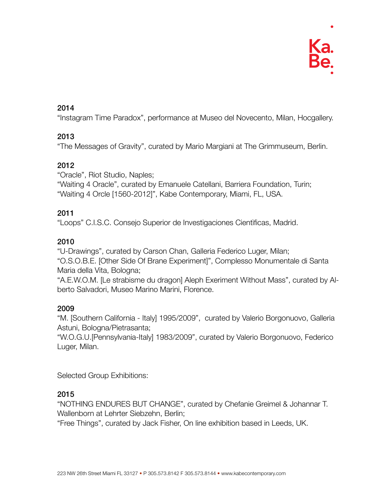### 2014

"Instagram Time Paradox", performance at Museo del Novecento, Milan, Hocgallery.

## 2013

"The Messages of Gravity", curated by Mario Margiani at The Grimmuseum, Berlin.

## 2012

"Oracle", Riot Studio, Naples; "Waiting 4 Oracle", curated by Emanuele Catellani, Barriera Foundation, Turin; "Waiting 4 Orcle [1560-2012]", Kabe Contemporary, Miami, FL, USA.

## 2011

"Loops" C.I.S.C. Consejo Superior de Investigaciones Cientìficas, Madrid.

## 2010

"U-Drawings", curated by Carson Chan, Galleria Federico Luger, Milan; "O.S.O.B.E. [Other Side Of Brane Experiment]", Complesso Monumentale di Santa Maria della Vita, Bologna;

"A.E.W.O.M. [Le strabisme du dragon] Aleph Exeriment Without Mass", curated by Alberto Salvadori, Museo Marino Marini, Florence.

#### 2009

"M. [Southern California - Italy] 1995/2009", curated by Valerio Borgonuovo, Galleria Astuni, Bologna/Pietrasanta;

"W.O.G.U.[Pennsylvania-Italy] 1983/2009", curated by Valerio Borgonuovo, Federico Luger, Milan.

Selected Group Exhibitions:

## 2015

"NOTHING ENDURES BUT CHANGE", curated by Chefanie Greimel & Johannar T. Wallenborn at Lehrter Siebzehn, Berlin;

"Free Things", curated by Jack Fisher, On line exhibition based in Leeds, UK.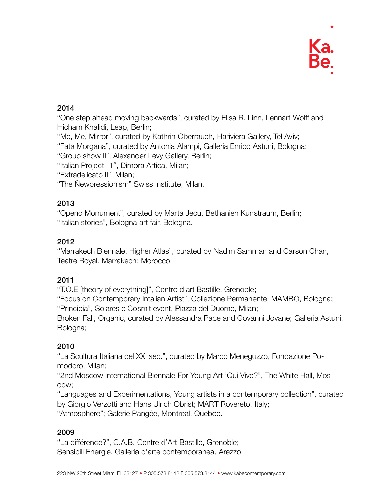

## 2014

"One step ahead moving backwards", curated by Elisa R. Linn, Lennart Wolff and Hicham Khalidi, Leap, Berlin;

"Me, Me, Mirror", curated by Kathrin Oberrauch, Hariviera Gallery, Tel Aviv;

"Fata Morgana", curated by Antonia Alampi, Galleria Enrico Astuni, Bologna;

"Group show II", Alexander Levy Gallery, Berlin;

"Italian Project -1″, Dimora Artica, Milan;

"Extradelicato II", Milan;

"The Ñewpressionism" Swiss Institute, Milan.

## 2013

"Opend Monument", curated by Marta Jecu, Bethanien Kunstraum, Berlin; "Italian stories", Bologna art fair, Bologna.

## 2012

"Marrakech Biennale, Higher Atlas", curated by Nadim Samman and Carson Chan, Teatre Royal, Marrakech; Morocco.

## 2011

"T.O.E [theory of everything]", Centre d'art Bastille, Grenoble;

"Focus on Contemporary Intalian Artist", Collezione Permanente; MAMBO, Bologna; "Principia", Solares e Cosmit event, Piazza del Duomo, Milan;

Broken Fall, Organic, curated by Alessandra Pace and Govanni Jovane; Galleria Astuni, Bologna;

## 2010

"La Scultura Italiana del XXI sec.", curated by Marco Meneguzzo, Fondazione Pomodoro, Milan;

"2nd Moscow International Biennale For Young Art 'Qui Vive?", The White Hall, Moscow;

"Languages and Experimentations, Young artists in a contemporary collection", curated by Giorgio Verzotti and Hans Ulrich Obrist; MART Rovereto, Italy;

"Atmosphere"; Galerie Pangée, Montreal, Quebec.

#### 2009

"La différence?", C.A.B. Centre d'Art Bastille, Grenoble; Sensibili Energie, Galleria d'arte contemporanea, Arezzo.